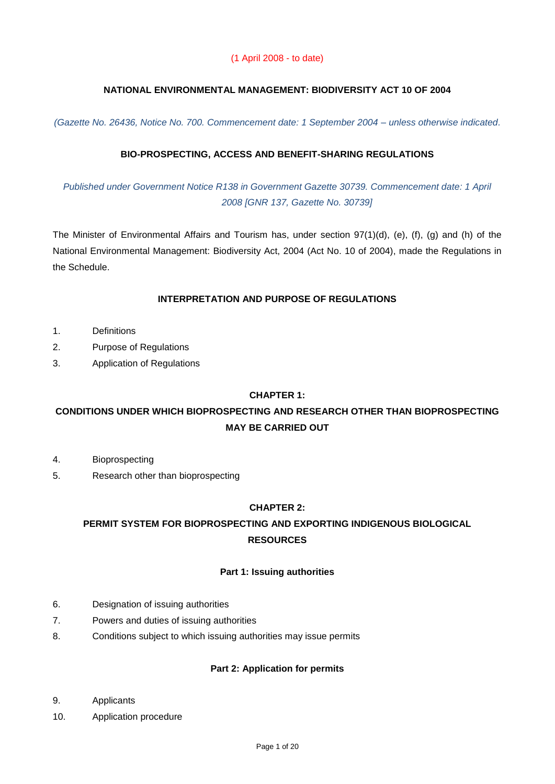## **NATIONAL ENVIRONMENTAL MANAGEMENT: BIODIVERSITY ACT 10 OF 2004**

*(Gazette No. 26436, Notice No. 700. Commencement date: 1 September 2004 – unless otherwise indicated.* 

## **BIO-PROSPECTING, ACCESS AND BENEFIT-SHARING REGULATIONS**

*Published under Government Notice R138 in Government Gazette 30739. Commencement date: 1 April 2008 [GNR 137, Gazette No. 30739]*

The Minister of Environmental Affairs and Tourism has, under section 97(1)(d), (e), (f), (g) and (h) of the National Environmental Management: Biodiversity Act, 2004 (Act No. 10 of 2004), made the Regulations in the Schedule.

## **INTERPRETATION AND PURPOSE OF REGULATIONS**

- 1. Definitions
- 2. Purpose of Regulations
- 3. Application of Regulations

## **CHAPTER 1:**

## **CONDITIONS UNDER WHICH BIOPROSPECTING AND RESEARCH OTHER THAN BIOPROSPECTING MAY BE CARRIED OUT**

- 4. Bioprospecting
- 5. Research other than bioprospecting

## **CHAPTER 2:**

## **PERMIT SYSTEM FOR BIOPROSPECTING AND EXPORTING INDIGENOUS BIOLOGICAL RESOURCES**

#### **Part 1: Issuing authorities**

- 6. Designation of issuing authorities
- 7. Powers and duties of issuing authorities
- 8. Conditions subject to which issuing authorities may issue permits

#### **Part 2: Application for permits**

- 9. Applicants
- 10. Application procedure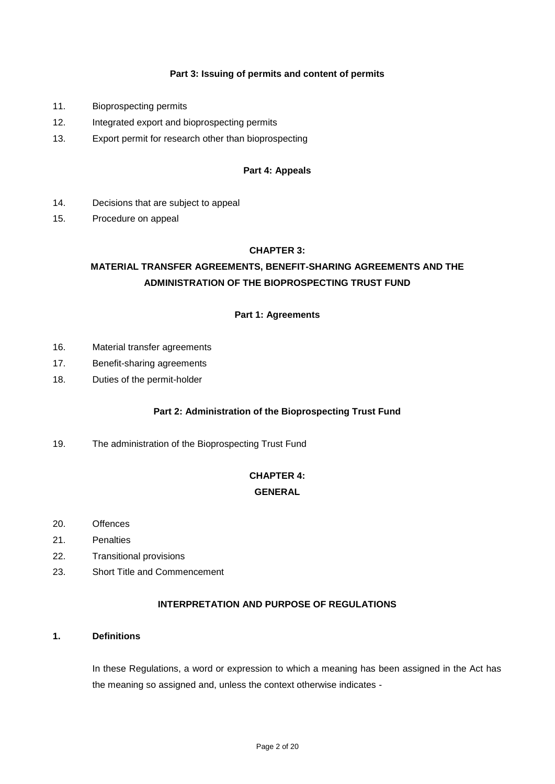#### **Part 3: Issuing of permits and content of permits**

- 11. Bioprospecting permits
- 12. Integrated export and bioprospecting permits
- 13. Export permit for research other than bioprospecting

#### **Part 4: Appeals**

- 14. Decisions that are subject to appeal
- 15. Procedure on appeal

## **CHAPTER 3:**

## **MATERIAL TRANSFER AGREEMENTS, BENEFIT-SHARING AGREEMENTS AND THE ADMINISTRATION OF THE BIOPROSPECTING TRUST FUND**

## **Part 1: Agreements**

- 16. Material transfer agreements
- 17. Benefit-sharing agreements
- 18. Duties of the permit-holder

## **Part 2: Administration of the Bioprospecting Trust Fund**

19. The administration of the Bioprospecting Trust Fund

# **CHAPTER 4:**

## **GENERAL**

- 20. Offences
- 21. Penalties
- 22. Transitional provisions
- 23. Short Title and Commencement

#### **INTERPRETATION AND PURPOSE OF REGULATIONS**

#### **1. Definitions**

In these Regulations, a word or expression to which a meaning has been assigned in the Act has the meaning so assigned and, unless the context otherwise indicates -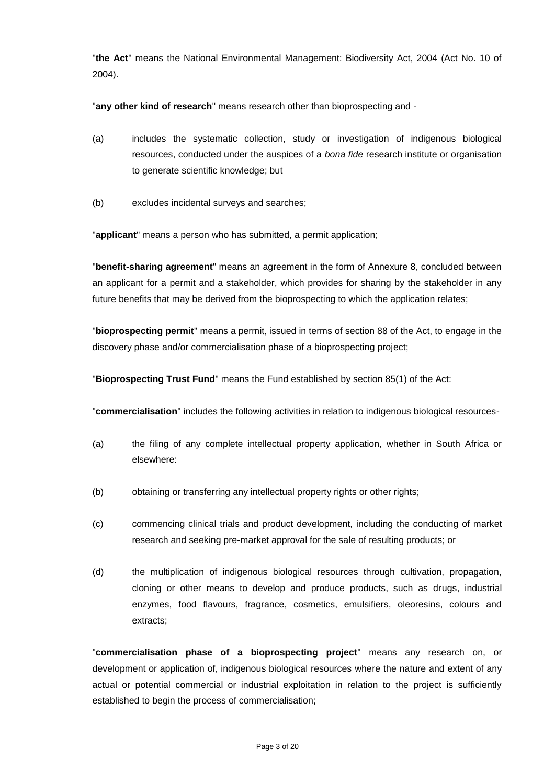"**the Act**" means the National Environmental Management: Biodiversity Act, 2004 (Act No. 10 of 2004).

"**any other kind of research**" means research other than bioprospecting and -

- (a) includes the systematic collection, study or investigation of indigenous biological resources, conducted under the auspices of a *bona fide* research institute or organisation to generate scientific knowledge; but
- (b) excludes incidental surveys and searches;

"**applicant**" means a person who has submitted, a permit application;

"**benefit-sharing agreement**" means an agreement in the form of Annexure 8, concluded between an applicant for a permit and a stakeholder, which provides for sharing by the stakeholder in any future benefits that may be derived from the bioprospecting to which the application relates;

"**bioprospecting permit**" means a permit, issued in terms of section 88 of the Act, to engage in the discovery phase and/or commercialisation phase of a bioprospecting project;

"**Bioprospecting Trust Fund**" means the Fund established by section 85(1) of the Act:

"**commercialisation**" includes the following activities in relation to indigenous biological resources-

- (a) the filing of any complete intellectual property application, whether in South Africa or elsewhere:
- (b) obtaining or transferring any intellectual property rights or other rights;
- (c) commencing clinical trials and product development, including the conducting of market research and seeking pre-market approval for the sale of resulting products; or
- (d) the multiplication of indigenous biological resources through cultivation, propagation, cloning or other means to develop and produce products, such as drugs, industrial enzymes, food flavours, fragrance, cosmetics, emulsifiers, oleoresins, colours and extracts;

"**commercialisation phase of a bioprospecting project**" means any research on, or development or application of, indigenous biological resources where the nature and extent of any actual or potential commercial or industrial exploitation in relation to the project is sufficiently established to begin the process of commercialisation;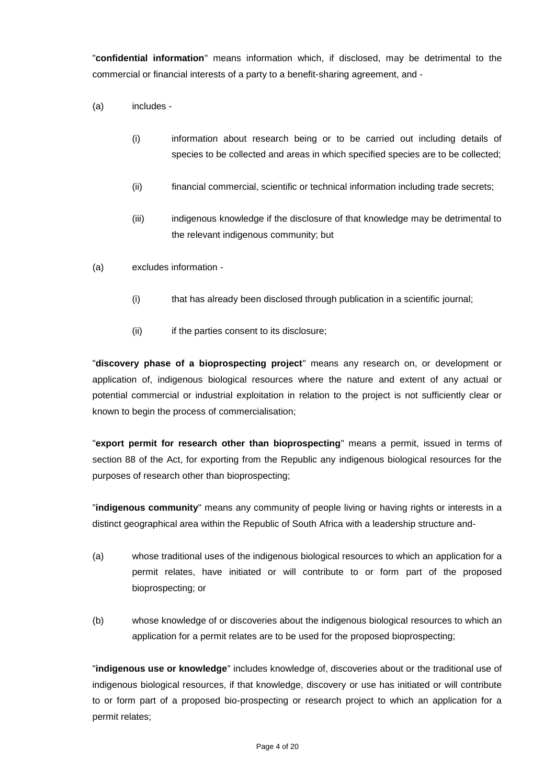"**confidential information**" means information which, if disclosed, may be detrimental to the commercial or financial interests of a party to a benefit-sharing agreement, and -

- (a) includes
	- (i) information about research being or to be carried out including details of species to be collected and areas in which specified species are to be collected;
	- (ii) financial commercial, scientific or technical information including trade secrets;
	- (iii) indigenous knowledge if the disclosure of that knowledge may be detrimental to the relevant indigenous community; but
- (a) excludes information
	- (i) that has already been disclosed through publication in a scientific journal;
	- (ii) if the parties consent to its disclosure;

"**discovery phase of a bioprospecting project**" means any research on, or development or application of, indigenous biological resources where the nature and extent of any actual or potential commercial or industrial exploitation in relation to the project is not sufficiently clear or known to begin the process of commercialisation;

"**export permit for research other than bioprospecting**" means a permit, issued in terms of section 88 of the Act, for exporting from the Republic any indigenous biological resources for the purposes of research other than bioprospecting;

"**indigenous community**" means any community of people living or having rights or interests in a distinct geographical area within the Republic of South Africa with a leadership structure and-

- (a) whose traditional uses of the indigenous biological resources to which an application for a permit relates, have initiated or will contribute to or form part of the proposed bioprospecting; or
- (b) whose knowledge of or discoveries about the indigenous biological resources to which an application for a permit relates are to be used for the proposed bioprospecting;

"**indigenous use or knowledge**" includes knowledge of, discoveries about or the traditional use of indigenous biological resources, if that knowledge, discovery or use has initiated or will contribute to or form part of a proposed bio-prospecting or research project to which an application for a permit relates;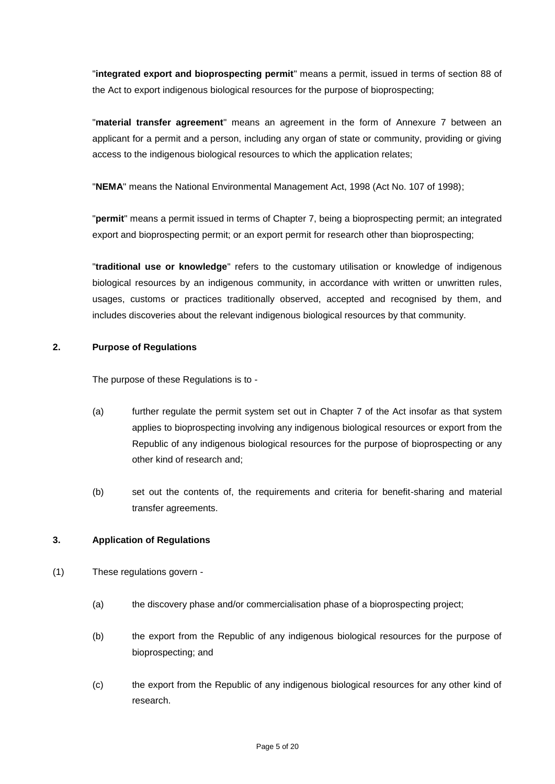"**integrated export and bioprospecting permit**" means a permit, issued in terms of section 88 of the Act to export indigenous biological resources for the purpose of bioprospecting;

"**material transfer agreement**" means an agreement in the form of Annexure 7 between an applicant for a permit and a person, including any organ of state or community, providing or giving access to the indigenous biological resources to which the application relates;

"**NEMA**" means the National Environmental Management Act, 1998 (Act No. 107 of 1998);

"**permit**" means a permit issued in terms of Chapter 7, being a bioprospecting permit; an integrated export and bioprospecting permit; or an export permit for research other than bioprospecting;

"**traditional use or knowledge**" refers to the customary utilisation or knowledge of indigenous biological resources by an indigenous community, in accordance with written or unwritten rules, usages, customs or practices traditionally observed, accepted and recognised by them, and includes discoveries about the relevant indigenous biological resources by that community.

## **2. Purpose of Regulations**

The purpose of these Regulations is to -

- (a) further regulate the permit system set out in Chapter 7 of the Act insofar as that system applies to bioprospecting involving any indigenous biological resources or export from the Republic of any indigenous biological resources for the purpose of bioprospecting or any other kind of research and;
- (b) set out the contents of, the requirements and criteria for benefit-sharing and material transfer agreements.

## **3. Application of Regulations**

- (1) These regulations govern
	- (a) the discovery phase and/or commercialisation phase of a bioprospecting project;
	- (b) the export from the Republic of any indigenous biological resources for the purpose of bioprospecting; and
	- (c) the export from the Republic of any indigenous biological resources for any other kind of research.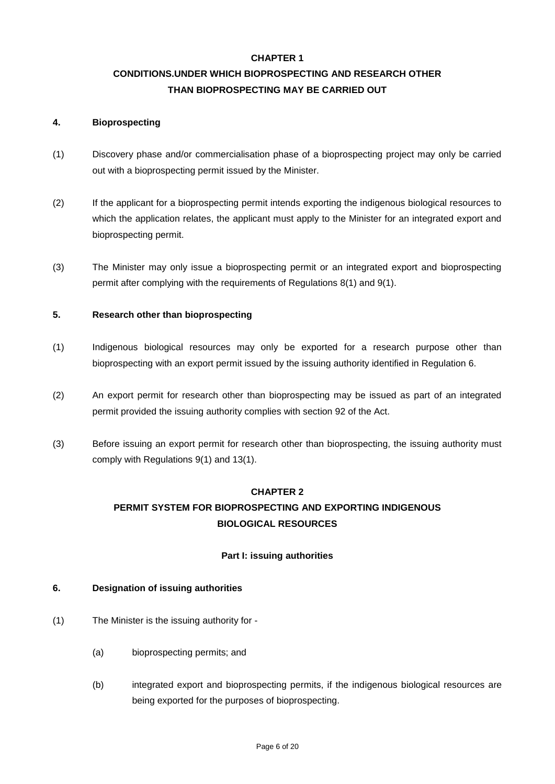#### **CHAPTER 1**

## **CONDITIONS.UNDER WHICH BIOPROSPECTING AND RESEARCH OTHER THAN BIOPROSPECTING MAY BE CARRIED OUT**

#### **4. Bioprospecting**

- (1) Discovery phase and/or commercialisation phase of a bioprospecting project may only be carried out with a bioprospecting permit issued by the Minister.
- (2) If the applicant for a bioprospecting permit intends exporting the indigenous biological resources to which the application relates, the applicant must apply to the Minister for an integrated export and bioprospecting permit.
- (3) The Minister may only issue a bioprospecting permit or an integrated export and bioprospecting permit after complying with the requirements of Regulations 8(1) and 9(1).

#### **5. Research other than bioprospecting**

- (1) Indigenous biological resources may only be exported for a research purpose other than bioprospecting with an export permit issued by the issuing authority identified in Regulation 6.
- (2) An export permit for research other than bioprospecting may be issued as part of an integrated permit provided the issuing authority complies with section 92 of the Act.
- (3) Before issuing an export permit for research other than bioprospecting, the issuing authority must comply with Regulations 9(1) and 13(1).

## **CHAPTER 2 PERMIT SYSTEM FOR BIOPROSPECTING AND EXPORTING INDIGENOUS**

#### **BIOLOGICAL RESOURCES**

#### **Part I: issuing authorities**

#### **6. Designation of issuing authorities**

- (1) The Minister is the issuing authority for
	- (a) bioprospecting permits; and
	- (b) integrated export and bioprospecting permits, if the indigenous biological resources are being exported for the purposes of bioprospecting.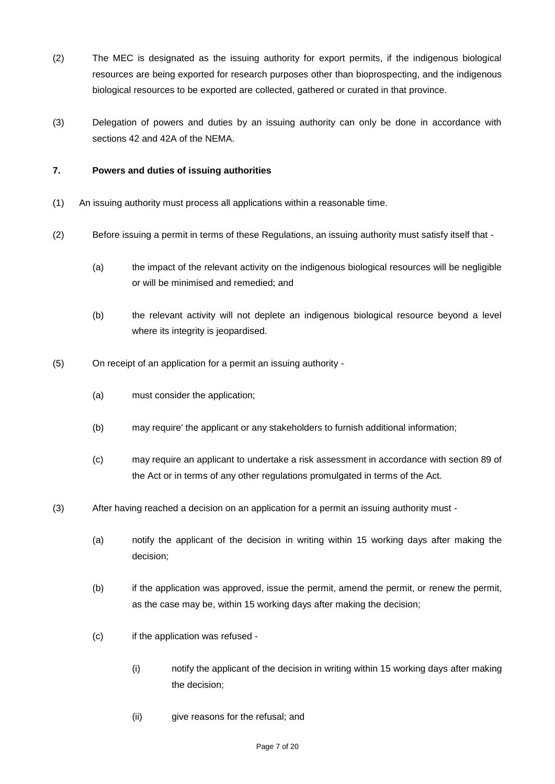- (2) The MEC is designated as the issuing authority for export permits, if the indigenous biological resources are being exported for research purposes other than bioprospecting, and the indigenous biological resources to be exported are collected, gathered or curated in that province.
- (3) Delegation of powers and duties by an issuing authority can only be done in accordance with sections 42 and 42A of the NEMA.

## **7. Powers and duties of issuing authorities**

- (1) An issuing authority must process all applications within a reasonable time.
- (2) Before issuing a permit in terms of these Regulations, an issuing authority must satisfy itself that
	- (a) the impact of the relevant activity on the indigenous biological resources will be negligible or will be minimised and remedied; and
	- (b) the relevant activity will not deplete an indigenous biological resource beyond a level where its integrity is jeopardised.
- (5) On receipt of an application for a permit an issuing authority
	- (a) must consider the application;
	- (b) may require' the applicant or any stakeholders to furnish additional information;
	- (c) may require an applicant to undertake a risk assessment in accordance with section 89 of the Act or in terms of any other regulations promulgated in terms of the Act.
- (3) After having reached a decision on an application for a permit an issuing authority must
	- (a) notify the applicant of the decision in writing within 15 working days after making the decision;
	- (b) if the application was approved, issue the permit, amend the permit, or renew the permit, as the case may be, within 15 working days after making the decision;
	- (c) if the application was refused
		- (i) notify the applicant of the decision in writing within 15 working days after making the decision;
		- (ii) give reasons for the refusal; and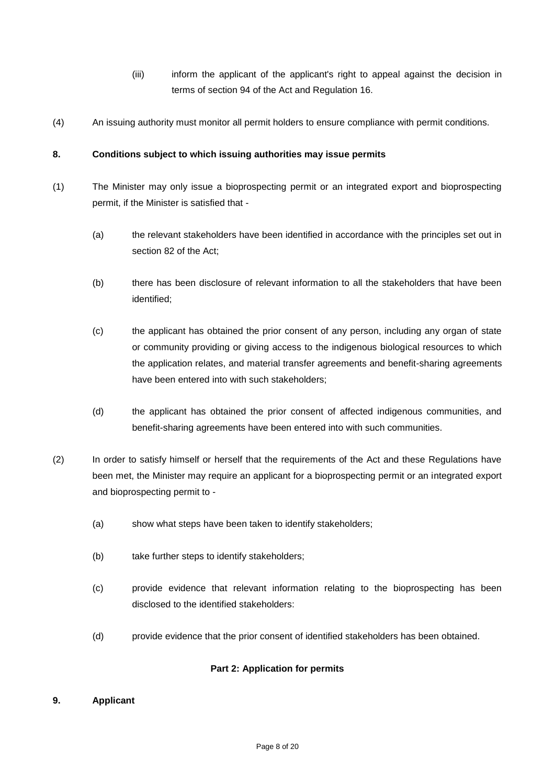- (iii) inform the applicant of the applicant's right to appeal against the decision in terms of section 94 of the Act and Regulation 16.
- (4) An issuing authority must monitor all permit holders to ensure compliance with permit conditions.

## **8. Conditions subject to which issuing authorities may issue permits**

- (1) The Minister may only issue a bioprospecting permit or an integrated export and bioprospecting permit, if the Minister is satisfied that -
	- (a) the relevant stakeholders have been identified in accordance with the principles set out in section 82 of the Act;
	- (b) there has been disclosure of relevant information to all the stakeholders that have been identified;
	- (c) the applicant has obtained the prior consent of any person, including any organ of state or community providing or giving access to the indigenous biological resources to which the application relates, and material transfer agreements and benefit-sharing agreements have been entered into with such stakeholders;
	- (d) the applicant has obtained the prior consent of affected indigenous communities, and benefit-sharing agreements have been entered into with such communities.
- (2) In order to satisfy himself or herself that the requirements of the Act and these Regulations have been met, the Minister may require an applicant for a bioprospecting permit or an integrated export and bioprospecting permit to -
	- (a) show what steps have been taken to identify stakeholders;
	- (b) take further steps to identify stakeholders;
	- (c) provide evidence that relevant information relating to the bioprospecting has been disclosed to the identified stakeholders:
	- (d) provide evidence that the prior consent of identified stakeholders has been obtained.

#### **Part 2: Application for permits**

#### **9. Applicant**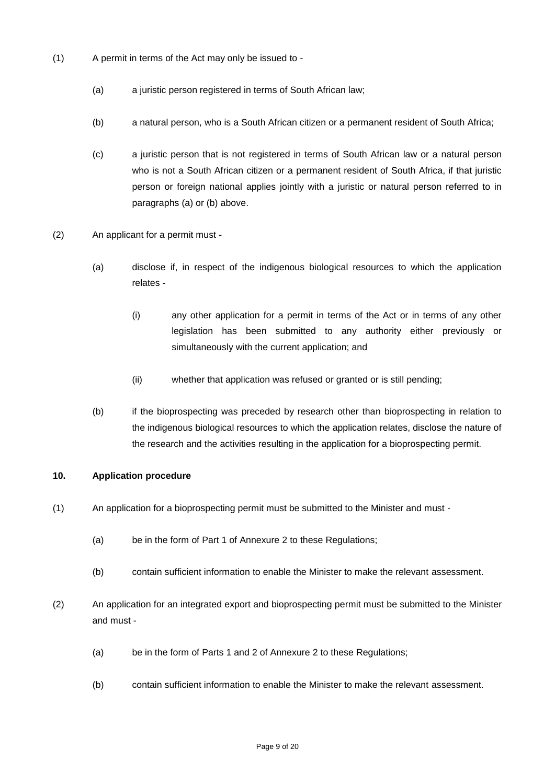- (1) A permit in terms of the Act may only be issued to
	- (a) a juristic person registered in terms of South African law;
	- (b) a natural person, who is a South African citizen or a permanent resident of South Africa;
	- (c) a juristic person that is not registered in terms of South African law or a natural person who is not a South African citizen or a permanent resident of South Africa, if that juristic person or foreign national applies jointly with a juristic or natural person referred to in paragraphs (a) or (b) above.
- (2) An applicant for a permit must
	- (a) disclose if, in respect of the indigenous biological resources to which the application relates -
		- (i) any other application for a permit in terms of the Act or in terms of any other legislation has been submitted to any authority either previously or simultaneously with the current application; and
		- (ii) whether that application was refused or granted or is still pending;
	- (b) if the bioprospecting was preceded by research other than bioprospecting in relation to the indigenous biological resources to which the application relates, disclose the nature of the research and the activities resulting in the application for a bioprospecting permit.

#### **10. Application procedure**

- (1) An application for a bioprospecting permit must be submitted to the Minister and must
	- (a) be in the form of Part 1 of Annexure 2 to these Regulations;
	- (b) contain sufficient information to enable the Minister to make the relevant assessment.
- (2) An application for an integrated export and bioprospecting permit must be submitted to the Minister and must -
	- (a) be in the form of Parts 1 and 2 of Annexure 2 to these Regulations;
	- (b) contain sufficient information to enable the Minister to make the relevant assessment.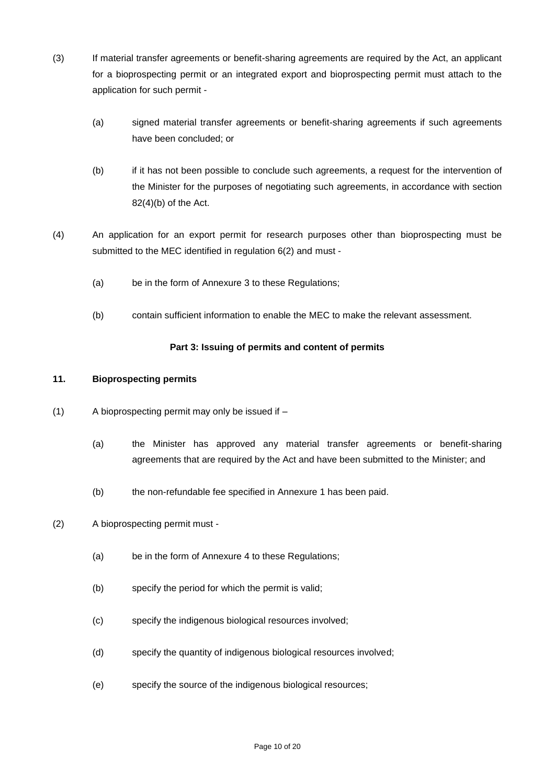- (3) If material transfer agreements or benefit-sharing agreements are required by the Act, an applicant for a bioprospecting permit or an integrated export and bioprospecting permit must attach to the application for such permit -
	- (a) signed material transfer agreements or benefit-sharing agreements if such agreements have been concluded; or
	- (b) if it has not been possible to conclude such agreements, a request for the intervention of the Minister for the purposes of negotiating such agreements, in accordance with section 82(4)(b) of the Act.
- (4) An application for an export permit for research purposes other than bioprospecting must be submitted to the MEC identified in regulation 6(2) and must -
	- (a) be in the form of Annexure 3 to these Regulations;
	- (b) contain sufficient information to enable the MEC to make the relevant assessment.

## **Part 3: Issuing of permits and content of permits**

## **11. Bioprospecting permits**

- (1) A bioprospecting permit may only be issued if
	- (a) the Minister has approved any material transfer agreements or benefit-sharing agreements that are required by the Act and have been submitted to the Minister; and
	- (b) the non-refundable fee specified in Annexure 1 has been paid.
- (2) A bioprospecting permit must
	- (a) be in the form of Annexure 4 to these Regulations;
	- (b) specify the period for which the permit is valid;
	- (c) specify the indigenous biological resources involved;
	- (d) specify the quantity of indigenous biological resources involved;
	- (e) specify the source of the indigenous biological resources;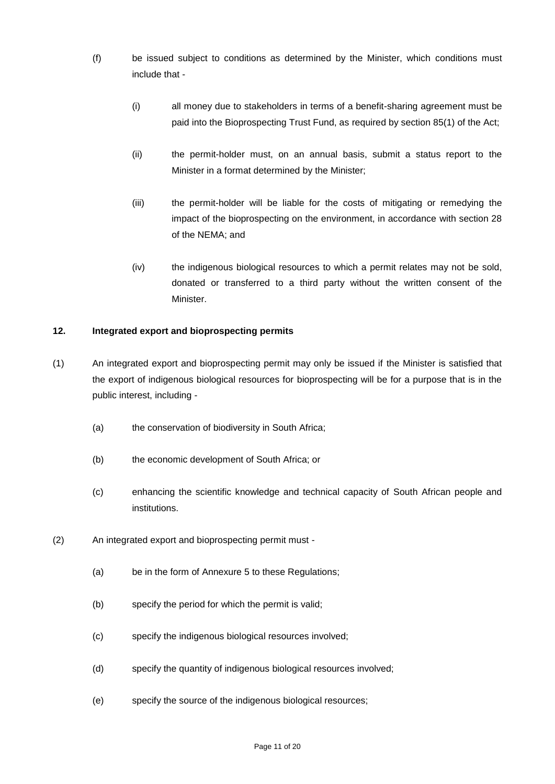- (f) be issued subject to conditions as determined by the Minister, which conditions must include that -
	- (i) all money due to stakeholders in terms of a benefit-sharing agreement must be paid into the Bioprospecting Trust Fund, as required by section 85(1) of the Act;
	- (ii) the permit-holder must, on an annual basis, submit a status report to the Minister in a format determined by the Minister;
	- (iii) the permit-holder will be liable for the costs of mitigating or remedying the impact of the bioprospecting on the environment, in accordance with section 28 of the NEMA; and
	- (iv) the indigenous biological resources to which a permit relates may not be sold, donated or transferred to a third party without the written consent of the Minister.

## **12. Integrated export and bioprospecting permits**

- (1) An integrated export and bioprospecting permit may only be issued if the Minister is satisfied that the export of indigenous biological resources for bioprospecting will be for a purpose that is in the public interest, including -
	- (a) the conservation of biodiversity in South Africa;
	- (b) the economic development of South Africa; or
	- (c) enhancing the scientific knowledge and technical capacity of South African people and institutions.
- (2) An integrated export and bioprospecting permit must
	- (a) be in the form of Annexure 5 to these Regulations;
	- (b) specify the period for which the permit is valid;
	- (c) specify the indigenous biological resources involved;
	- (d) specify the quantity of indigenous biological resources involved;
	- (e) specify the source of the indigenous biological resources;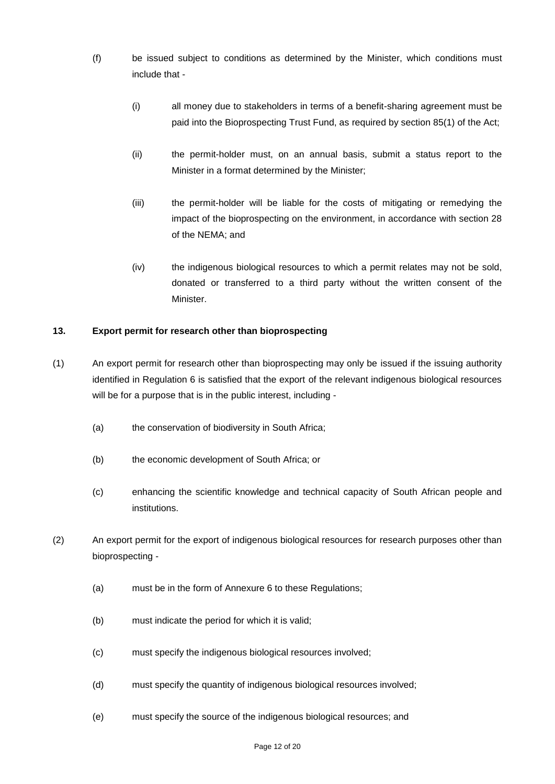- (f) be issued subject to conditions as determined by the Minister, which conditions must include that -
	- (i) all money due to stakeholders in terms of a benefit-sharing agreement must be paid into the Bioprospecting Trust Fund, as required by section 85(1) of the Act;
	- (ii) the permit-holder must, on an annual basis, submit a status report to the Minister in a format determined by the Minister;
	- (iii) the permit-holder will be liable for the costs of mitigating or remedying the impact of the bioprospecting on the environment, in accordance with section 28 of the NEMA; and
	- (iv) the indigenous biological resources to which a permit relates may not be sold, donated or transferred to a third party without the written consent of the Minister.

## **13. Export permit for research other than bioprospecting**

- (1) An export permit for research other than bioprospecting may only be issued if the issuing authority identified in Regulation 6 is satisfied that the export of the relevant indigenous biological resources will be for a purpose that is in the public interest, including -
	- (a) the conservation of biodiversity in South Africa;
	- (b) the economic development of South Africa; or
	- (c) enhancing the scientific knowledge and technical capacity of South African people and institutions.
- (2) An export permit for the export of indigenous biological resources for research purposes other than bioprospecting -
	- (a) must be in the form of Annexure 6 to these Regulations;
	- (b) must indicate the period for which it is valid;
	- (c) must specify the indigenous biological resources involved;
	- (d) must specify the quantity of indigenous biological resources involved;
	- (e) must specify the source of the indigenous biological resources; and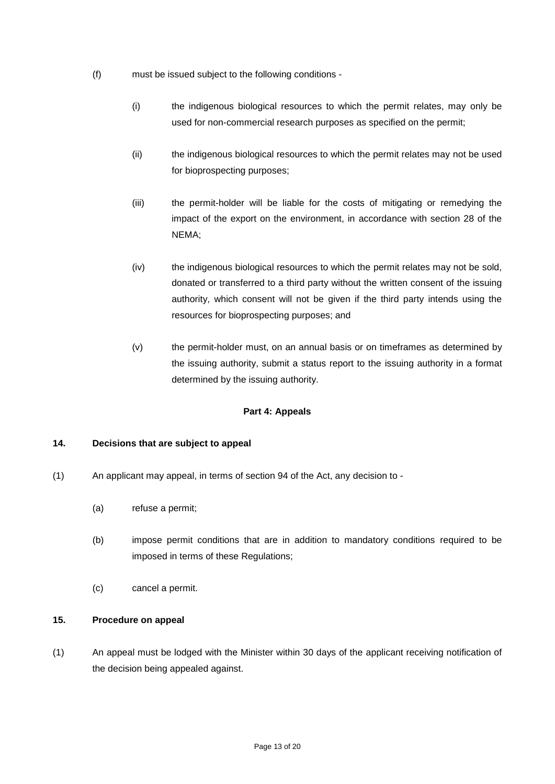- (f) must be issued subject to the following conditions
	- (i) the indigenous biological resources to which the permit relates, may only be used for non-commercial research purposes as specified on the permit;
	- (ii) the indigenous biological resources to which the permit relates may not be used for bioprospecting purposes;
	- (iii) the permit-holder will be liable for the costs of mitigating or remedying the impact of the export on the environment, in accordance with section 28 of the NEMA;
	- (iv) the indigenous biological resources to which the permit relates may not be sold, donated or transferred to a third party without the written consent of the issuing authority, which consent will not be given if the third party intends using the resources for bioprospecting purposes; and
	- (v) the permit-holder must, on an annual basis or on timeframes as determined by the issuing authority, submit a status report to the issuing authority in a format determined by the issuing authority.

## **Part 4: Appeals**

## **14. Decisions that are subject to appeal**

- (1) An applicant may appeal, in terms of section 94 of the Act, any decision to
	- (a) refuse a permit;
	- (b) impose permit conditions that are in addition to mandatory conditions required to be imposed in terms of these Regulations;
	- (c) cancel a permit.

#### **15. Procedure on appeal**

(1) An appeal must be lodged with the Minister within 30 days of the applicant receiving notification of the decision being appealed against.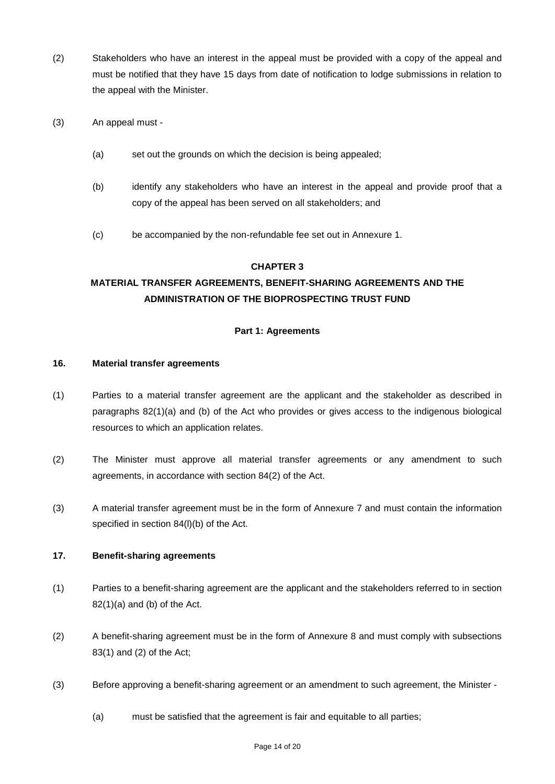- (2) Stakeholders who have an interest in the appeal must be provided with a copy of the appeal and must be notified that they have 15 days from date of notification to lodge submissions in relation to the appeal with the Minister.
- (3) An appeal must
	- (a) set out the grounds on which the decision is being appealed;
	- (b) identify any stakeholders who have an interest in the appeal and provide proof that a copy of the appeal has been served on all stakeholders; and
	- (c) be accompanied by the non-refundable fee set out in Annexure 1.

## **CHAPTER 3**

## **MATERIAL TRANSFER AGREEMENTS, BENEFIT-SHARING AGREEMENTS AND THE ADMINISTRATION OF THE BIOPROSPECTING TRUST FUND**

## **Part 1: Agreements**

#### **16. Material transfer agreements**

- (1) Parties to a material transfer agreement are the applicant and the stakeholder as described in paragraphs 82(1)(a) and (b) of the Act who provides or gives access to the indigenous biological resources to which an application relates.
- (2) The Minister must approve all material transfer agreements or any amendment to such agreements, in accordance with section 84(2) of the Act.
- (3) A material transfer agreement must be in the form of Annexure 7 and must contain the information specified in section 84(l)(b) of the Act.

#### **17. Benefit-sharing agreements**

- (1) Parties to a benefit-sharing agreement are the applicant and the stakeholders referred to in section  $82(1)(a)$  and (b) of the Act.
- (2) A benefit-sharing agreement must be in the form of Annexure 8 and must comply with subsections 83(1) and (2) of the Act;
- (3) Before approving a benefit-sharing agreement or an amendment to such agreement, the Minister
	- (a) must be satisfied that the agreement is fair and equitable to all parties;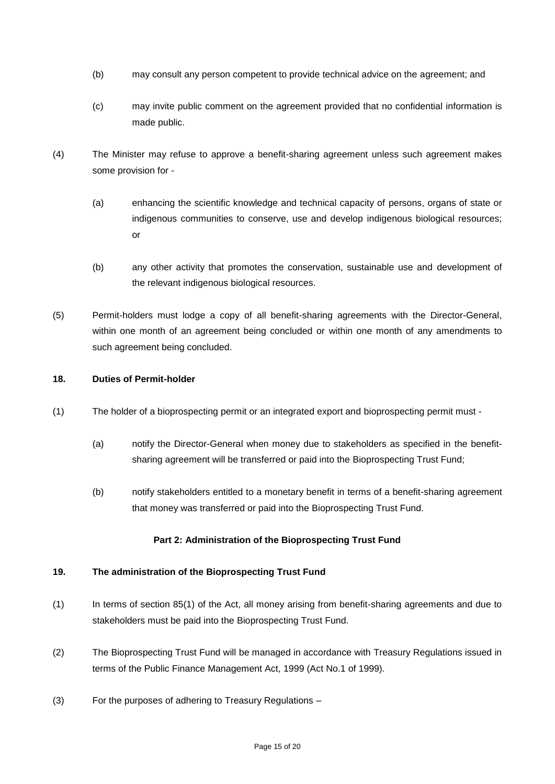- (b) may consult any person competent to provide technical advice on the agreement; and
- (c) may invite public comment on the agreement provided that no confidential information is made public.
- (4) The Minister may refuse to approve a benefit-sharing agreement unless such agreement makes some provision for -
	- (a) enhancing the scientific knowledge and technical capacity of persons, organs of state or indigenous communities to conserve, use and develop indigenous biological resources; or
	- (b) any other activity that promotes the conservation, sustainable use and development of the relevant indigenous biological resources.
- (5) Permit-holders must lodge a copy of all benefit-sharing agreements with the Director-General, within one month of an agreement being concluded or within one month of any amendments to such agreement being concluded.

#### **18. Duties of Permit-holder**

- (1) The holder of a bioprospecting permit or an integrated export and bioprospecting permit must
	- (a) notify the Director-General when money due to stakeholders as specified in the benefitsharing agreement will be transferred or paid into the Bioprospecting Trust Fund;
	- (b) notify stakeholders entitled to a monetary benefit in terms of a benefit-sharing agreement that money was transferred or paid into the Bioprospecting Trust Fund.

## **Part 2: Administration of the Bioprospecting Trust Fund**

#### **19. The administration of the Bioprospecting Trust Fund**

- (1) In terms of section 85(1) of the Act, all money arising from benefit-sharing agreements and due to stakeholders must be paid into the Bioprospecting Trust Fund.
- (2) The Bioprospecting Trust Fund will be managed in accordance with Treasury Regulations issued in terms of the Public Finance Management Act, 1999 (Act No.1 of 1999).
- (3) For the purposes of adhering to Treasury Regulations –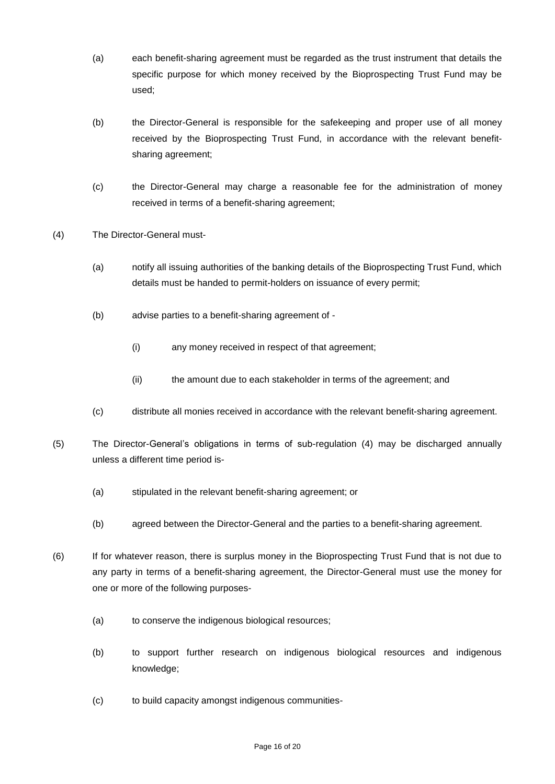- (a) each benefit-sharing agreement must be regarded as the trust instrument that details the specific purpose for which money received by the Bioprospecting Trust Fund may be used;
- (b) the Director-General is responsible for the safekeeping and proper use of all money received by the Bioprospecting Trust Fund, in accordance with the relevant benefitsharing agreement;
- (c) the Director-General may charge a reasonable fee for the administration of money received in terms of a benefit-sharing agreement;
- (4) The Director-General must-
	- (a) notify all issuing authorities of the banking details of the Bioprospecting Trust Fund, which details must be handed to permit-holders on issuance of every permit;
	- (b) advise parties to a benefit-sharing agreement of
		- (i) any money received in respect of that agreement;
		- (ii) the amount due to each stakeholder in terms of the agreement; and
	- (c) distribute all monies received in accordance with the relevant benefit-sharing agreement.
- (5) The Director-General's obligations in terms of sub-regulation (4) may be discharged annually unless a different time period is-
	- (a) stipulated in the relevant benefit-sharing agreement; or
	- (b) agreed between the Director-General and the parties to a benefit-sharing agreement.
- (6) If for whatever reason, there is surplus money in the Bioprospecting Trust Fund that is not due to any party in terms of a benefit-sharing agreement, the Director-General must use the money for one or more of the following purposes-
	- (a) to conserve the indigenous biological resources;
	- (b) to support further research on indigenous biological resources and indigenous knowledge;
	- (c) to build capacity amongst indigenous communities-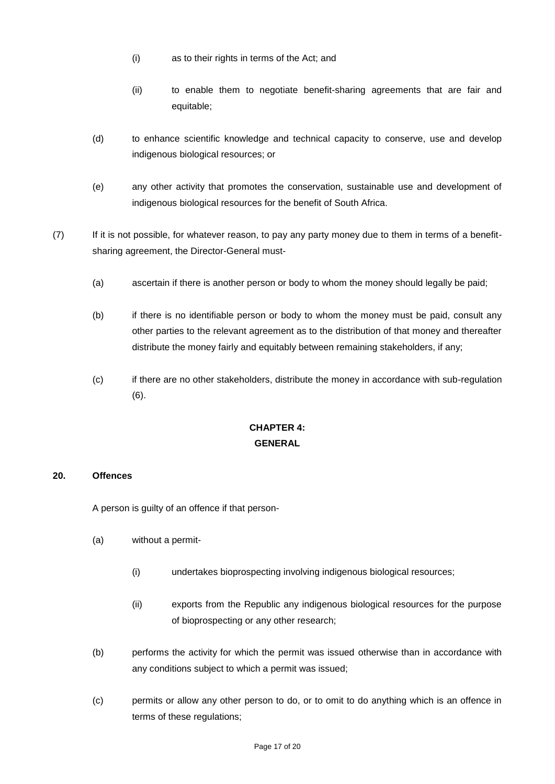- (i) as to their rights in terms of the Act; and
- (ii) to enable them to negotiate benefit-sharing agreements that are fair and equitable;
- (d) to enhance scientific knowledge and technical capacity to conserve, use and develop indigenous biological resources; or
- (e) any other activity that promotes the conservation, sustainable use and development of indigenous biological resources for the benefit of South Africa.
- (7) If it is not possible, for whatever reason, to pay any party money due to them in terms of a benefitsharing agreement, the Director-General must-
	- (a) ascertain if there is another person or body to whom the money should legally be paid;
	- (b) if there is no identifiable person or body to whom the money must be paid, consult any other parties to the relevant agreement as to the distribution of that money and thereafter distribute the money fairly and equitably between remaining stakeholders, if any;
	- (c) if there are no other stakeholders, distribute the money in accordance with sub-regulation (6).

## **CHAPTER 4: GENERAL**

#### **20. Offences**

A person is guilty of an offence if that person-

- (a) without a permit-
	- (i) undertakes bioprospecting involving indigenous biological resources;
	- (ii) exports from the Republic any indigenous biological resources for the purpose of bioprospecting or any other research;
- (b) performs the activity for which the permit was issued otherwise than in accordance with any conditions subject to which a permit was issued;
- (c) permits or allow any other person to do, or to omit to do anything which is an offence in terms of these regulations;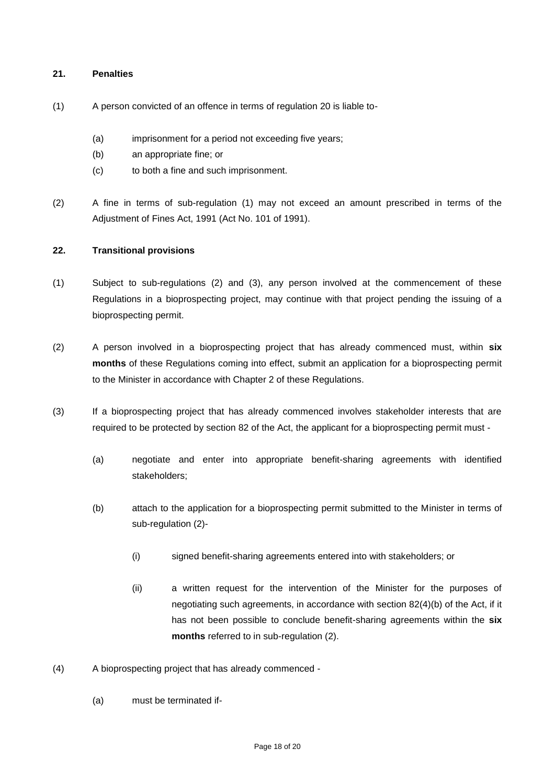#### **21. Penalties**

- (1) A person convicted of an offence in terms of regulation 20 is liable to-
	- (a) imprisonment for a period not exceeding five years;
	- (b) an appropriate fine; or
	- (c) to both a fine and such imprisonment.
- (2) A fine in terms of sub-regulation (1) may not exceed an amount prescribed in terms of the Adjustment of Fines Act, 1991 (Act No. 101 of 1991).

## **22. Transitional provisions**

- (1) Subject to sub-regulations (2) and (3), any person involved at the commencement of these Regulations in a bioprospecting project, may continue with that project pending the issuing of a bioprospecting permit.
- (2) A person involved in a bioprospecting project that has already commenced must, within **six months** of these Regulations coming into effect, submit an application for a bioprospecting permit to the Minister in accordance with Chapter 2 of these Regulations.
- (3) If a bioprospecting project that has already commenced involves stakeholder interests that are required to be protected by section 82 of the Act, the applicant for a bioprospecting permit must -
	- (a) negotiate and enter into appropriate benefit-sharing agreements with identified stakeholders;
	- (b) attach to the application for a bioprospecting permit submitted to the Minister in terms of sub-regulation (2)-
		- (i) signed benefit-sharing agreements entered into with stakeholders; or
		- (ii) a written request for the intervention of the Minister for the purposes of negotiating such agreements, in accordance with section 82(4)(b) of the Act, if it has not been possible to conclude benefit-sharing agreements within the **six months** referred to in sub-regulation (2).
- (4) A bioprospecting project that has already commenced
	- (a) must be terminated if-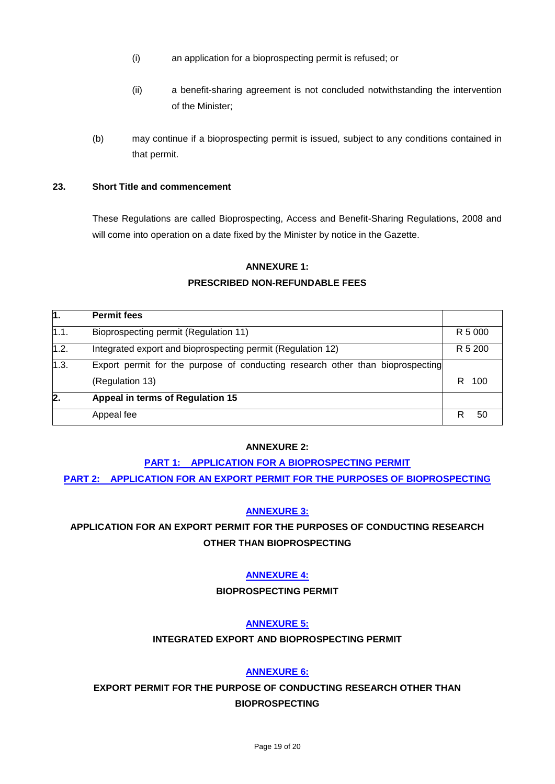- (i) an application for a bioprospecting permit is refused; or
- (ii) a benefit-sharing agreement is not concluded notwithstanding the intervention of the Minister;
- (b) may continue if a bioprospecting permit is issued, subject to any conditions contained in that permit.

## **23. Short Title and commencement**

These Regulations are called Bioprospecting, Access and Benefit-Sharing Regulations, 2008 and will come into operation on a date fixed by the Minister by notice in the Gazette.

## **ANNEXURE 1:**

## **PRESCRIBED NON-REFUNDABLE FEES**

| 1.           | <b>Permit fees</b>                                                             |          |
|--------------|--------------------------------------------------------------------------------|----------|
| 1.1.         | Bioprospecting permit (Regulation 11)                                          | R 5 000  |
| 1.2.         | Integrated export and bioprospecting permit (Regulation 12)                    | R 5 200  |
| 1.3.         | Export permit for the purpose of conducting research other than bioprospecting |          |
|              | (Regulation 13)                                                                | R<br>100 |
| $\mathbf{2}$ | Appeal in terms of Regulation 15                                               |          |
|              | Appeal fee                                                                     | R<br>50  |

#### **ANNEXURE 2:**

## **[PART 1: APPLICATION FOR A BIOPROSPECTING PERMIT](http://www.lawsofsouthafrica.up.ac.za/tabledocs/10of2004/GNR138/Annex%202_Part%201.pdf) [PART 2: APPLICATION FOR AN EXPORT PERMIT FOR THE PURPOSES OF BIOPROSPECTING](http://www.lawsofsouthafrica.up.ac.za/tabledocs/10of2004/GNR138/Annex%202_Part%202.pdf)**

## **[ANNEXURE 3:](http://www.lawsofsouthafrica.up.ac.za/tabledocs/10of2004/GNR138/Annex%203.pdf)**

## **APPLICATION FOR AN EXPORT PERMIT FOR THE PURPOSES OF CONDUCTING RESEARCH OTHER THAN BIOPROSPECTING**

## **[ANNEXURE 4:](http://www.lawsofsouthafrica.up.ac.za/tabledocs/10of2004/GNR138/Annex%204.pdf)**

## **BIOPROSPECTING PERMIT**

## **[ANNEXURE 5:](http://www.lawsofsouthafrica.up.ac.za/tabledocs/10of2004/GNR138/Annex%205.pdf)**

## **INTEGRATED EXPORT AND BIOPROSPECTING PERMIT**

## **[ANNEXURE 6:](http://www.lawsofsouthafrica.up.ac.za/tabledocs/10of2004/GNR138/Annex%206.pdf)**

**EXPORT PERMIT FOR THE PURPOSE OF CONDUCTING RESEARCH OTHER THAN BIOPROSPECTING**